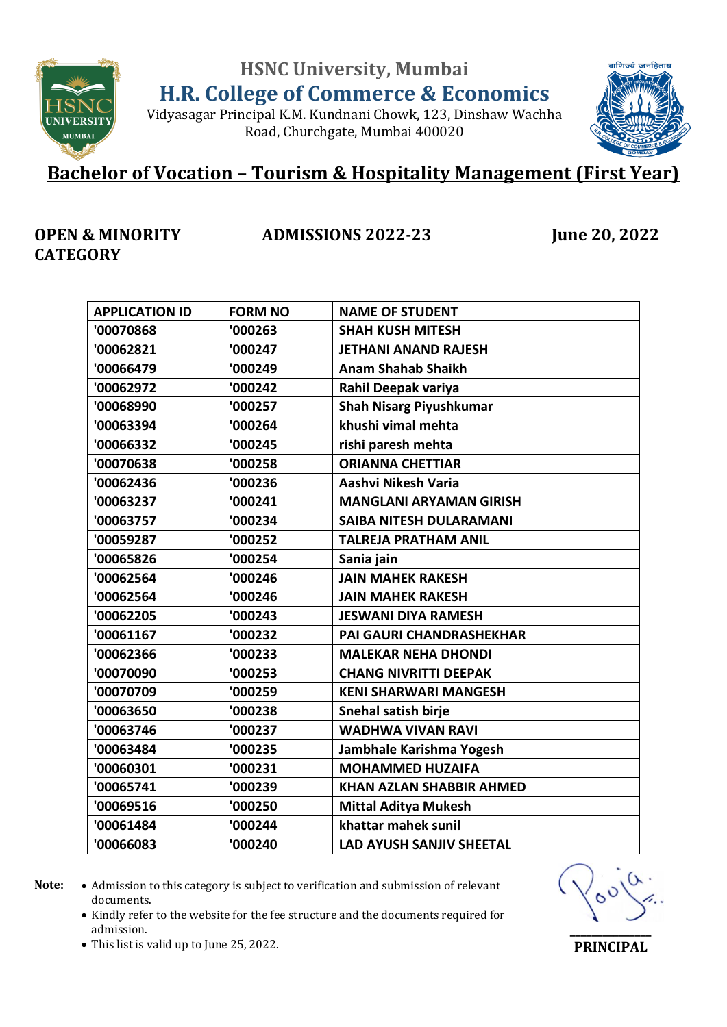**HSNC University, Mumbai**



**H.R. College of Commerce & Economics** Vidyasagar Principal K.M. Kundnani Chowk, 123, Dinshaw Wachha

Road, Churchgate, Mumbai 400020



# **Bachelor of Vocation – Tourism & Hospitality Management (First Year)**

#### **OPEN & MINORITY CATEGORY**

**ADMISSIONS 2022-23 June 20, 2022**

| <b>APPLICATION ID</b> | <b>FORM NO</b> | <b>NAME OF STUDENT</b>          |
|-----------------------|----------------|---------------------------------|
| '00070868             | '000263        | <b>SHAH KUSH MITESH</b>         |
| '00062821             | '000247        | <b>JETHANI ANAND RAJESH</b>     |
| '00066479             | '000249        | <b>Anam Shahab Shaikh</b>       |
| '00062972             | '000242        | Rahil Deepak variya             |
| '00068990             | '000257        | <b>Shah Nisarg Piyushkumar</b>  |
| '00063394             | '000264        | khushi vimal mehta              |
| '00066332             | '000245        | rishi paresh mehta              |
| '00070638             | '000258        | <b>ORIANNA CHETTIAR</b>         |
| '00062436             | '000236        | Aashvi Nikesh Varia             |
| '00063237             | '000241        | <b>MANGLANI ARYAMAN GIRISH</b>  |
| '00063757             | '000234        | <b>SAIBA NITESH DULARAMANI</b>  |
| '00059287             | '000252        | <b>TALREJA PRATHAM ANIL</b>     |
| '00065826             | '000254        | Sania jain                      |
| '00062564             | '000246        | <b>JAIN MAHEK RAKESH</b>        |
| '00062564             | '000246        | <b>JAIN MAHEK RAKESH</b>        |
| '00062205             | '000243        | <b>JESWANI DIYA RAMESH</b>      |
| '00061167             | '000232        | <b>PAI GAURI CHANDRASHEKHAR</b> |
| '00062366             | '000233        | <b>MALEKAR NEHA DHONDI</b>      |
| '00070090             | '000253        | <b>CHANG NIVRITTI DEEPAK</b>    |
| '00070709             | '000259        | <b>KENI SHARWARI MANGESH</b>    |
| '00063650             | '000238        | Snehal satish birje             |
| '00063746             | '000237        | <b>WADHWA VIVAN RAVI</b>        |
| '00063484             | '000235        | Jambhale Karishma Yogesh        |
| '00060301             | '000231        | <b>MOHAMMED HUZAIFA</b>         |
| '00065741             | '000239        | <b>KHAN AZLAN SHABBIR AHMED</b> |
| '00069516             | '000250        | <b>Mittal Aditya Mukesh</b>     |
| '00061484             | '000244        | khattar mahek sunil             |
| '00066083             | '000240        | <b>LAD AYUSH SANJIV SHEETAL</b> |
|                       |                |                                 |

- 
- Note:  $\bullet$  Admission to this category is subject to verification and submission of relevant documents.
	- Kindly refer to the website for the fee structure and the documents required for admission.



This list is valid up to June 25, 2022.

**\_\_\_\_\_\_\_\_\_\_\_\_\_\_\_ PRINCIPAL**